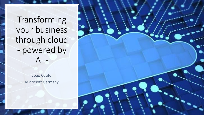Transforming your business through cloud - powered by  $AI -$ 

> Joao Couto Microsoft Germany

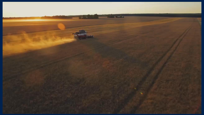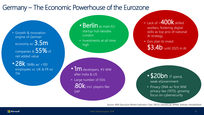### Germany – The Economic Powerhouse of the Eurozone

• Growth & innovation engine of German economy w/ $3.5m$ companies &  $55\%$  of net added value

• 28k SMBs w/ >100 employees vs. UK & FR w/ 15k

• **Berlin** as main EU startup hub besides London

• Investments at all-time high

• 1m developers, #3 WW after India & US

• Large number of ISVs  $(80k)$  incl. players like SAP

• Lack of  $>400k$  skilled workers, fostering digital skills as top prio of national AI strategy

• Gov plan to invest \$3.4b until 2025 in Al

## $\cdot$  \$20bn  $\overline{1}$  it spend,

weak eGovernment

• Privacy DNA w/ first WW privacy law (1970), growing focus on cybersecurity

*Source: WW Executive Market Indicators Tool; OECD; Destatis.de; BMWi; Statista; Handelsblatt*

mbuf Jahreskongress 2019 3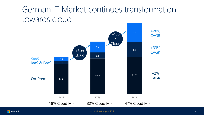## German IT Market continues transformation towards cloud



mbuf Jahreskongress 2019 4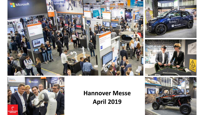



**Hannover Messe April 2019** 

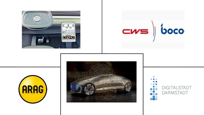







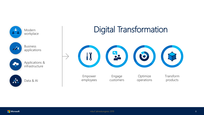

Modern workplace



**Business** applications



Applications & infrastructure



Data & AI

## Digital Transformation



Empower employees

Engage customers

Optimize operations Transform products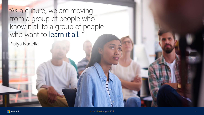"As a culture, we are moving from a group of people who know it all to a group of people who want to learn it all."

-Satya Nadella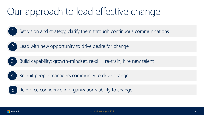# Our approach to lead effective change



Set vision and strategy, clarify them through continuous communications



Lead with new opportunity to drive desire for change





Recruit people managers community to drive change

Reinforce confidence in organization's ability to change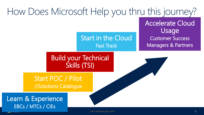

mbuf Jahreskongress 2019 12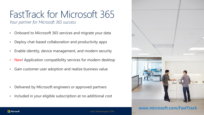# FastTrack for Microsoft 365

*Your partner for Microsoft 365 success*

- Onboard to Microsoft 365 services and migrate your data
- Deploy chat-based collaboration and productivity apps
- Enable identity, device management, and modern security
- New! Application compatibility services for modern desktop
- Gain customer user adoption and realize business value

- Delivered by Microsoft engineers or approved partners
- Included in your eligible subscription at no additional cost



#### **www.microsoft.com/FastTrack**

mbuf Jahreskongress 2019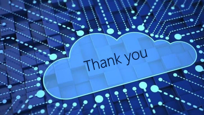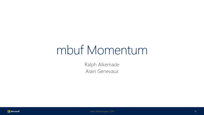# mbuf Momentum

Ralph Alkemade Alain Genevaux

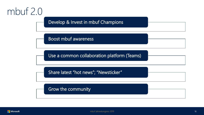# mbuf 2.0

Develop & Invest in mbuf Champions

Boost mbuf awareness

Use a common collaboration platform (Teams)

Share latest "hot news"; "Newsticker"

#### Grow the community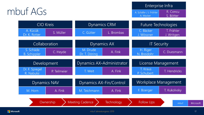# mbuf AGs

Enterprise Infra R. Concu

A. Schäfer / J. Fröhler A. Wacker

| <b>CIO Kreis</b>                                                               |              | <b>Dynamics CRM</b>       |            | Future Technologies     |                          |
|--------------------------------------------------------------------------------|--------------|---------------------------|------------|-------------------------|--------------------------|
| A. Kücük<br>Dr. K. Rotter                                                      | S. Müller    | C. Gütter                 | L. Brombas | C. Bäcker<br>J. Wössner | T. Frähler<br>J. Writgen |
| Collaboration                                                                  |              | <b>Dynamics AX</b>        |            | <b>IT Security</b>      |                          |
| S. Schäde<br><b>B.</b> Schippler                                               | C. Heyde     | M. Drude<br>Dr. T. Döring | A. Fink    | H. Riger<br>N. Breidohr | C. Duesmann              |
| Development                                                                    |              | Dynamics AX-Administrator |            | License Management      |                          |
| Dr. F. Spiegel<br>R. Nabulsi                                                   | P. Teilmeier | T. Weit                   | A. Fink    | T. Kraus<br>P. Schubert | T. Hendricks             |
| <b>Dynamics NAV</b>                                                            |              | Dynamics AX-Fin/Control   |            | Workplace Management    |                          |
| M. Horn                                                                        | A. Fink      | M. Teichmann              | A. Fink    | F. Boerger              | T. Kukolvsky             |
| <b>Meeting Cadence</b><br>Technology<br>Ownership<br><b>Follow Ups</b><br>mbuf |              |                           |            |                         |                          |

Microsoft